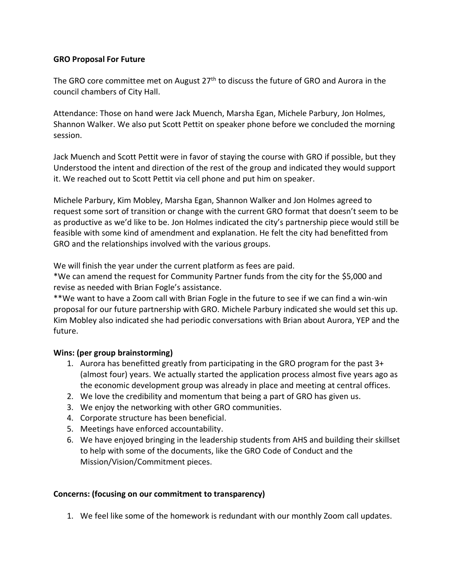## **GRO Proposal For Future**

The GRO core committee met on August  $27<sup>th</sup>$  to discuss the future of GRO and Aurora in the council chambers of City Hall.

Attendance: Those on hand were Jack Muench, Marsha Egan, Michele Parbury, Jon Holmes, Shannon Walker. We also put Scott Pettit on speaker phone before we concluded the morning session.

Jack Muench and Scott Pettit were in favor of staying the course with GRO if possible, but they Understood the intent and direction of the rest of the group and indicated they would support it. We reached out to Scott Pettit via cell phone and put him on speaker.

Michele Parbury, Kim Mobley, Marsha Egan, Shannon Walker and Jon Holmes agreed to request some sort of transition or change with the current GRO format that doesn't seem to be as productive as we'd like to be. Jon Holmes indicated the city's partnership piece would still be feasible with some kind of amendment and explanation. He felt the city had benefitted from GRO and the relationships involved with the various groups.

We will finish the year under the current platform as fees are paid.

\*We can amend the request for Community Partner funds from the city for the \$5,000 and revise as needed with Brian Fogle's assistance.

\*\*We want to have a Zoom call with Brian Fogle in the future to see if we can find a win-win proposal for our future partnership with GRO. Michele Parbury indicated she would set this up. Kim Mobley also indicated she had periodic conversations with Brian about Aurora, YEP and the future.

## **Wins: (per group brainstorming)**

- 1. Aurora has benefitted greatly from participating in the GRO program for the past 3+ (almost four) years. We actually started the application process almost five years ago as the economic development group was already in place and meeting at central offices.
- 2. We love the credibility and momentum that being a part of GRO has given us.
- 3. We enjoy the networking with other GRO communities.
- 4. Corporate structure has been beneficial.
- 5. Meetings have enforced accountability.
- 6. We have enjoyed bringing in the leadership students from AHS and building their skillset to help with some of the documents, like the GRO Code of Conduct and the Mission/Vision/Commitment pieces.

## **Concerns: (focusing on our commitment to transparency)**

1. We feel like some of the homework is redundant with our monthly Zoom call updates.